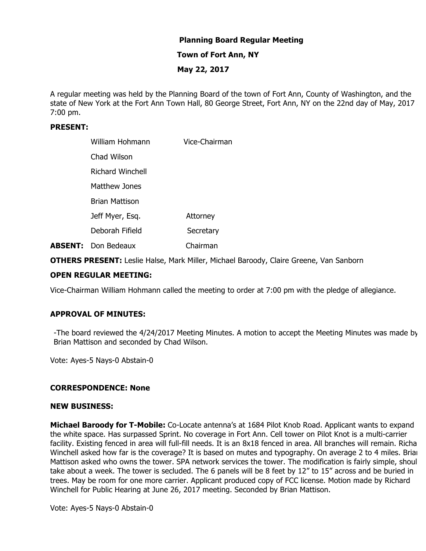# **Planning Board Regular Meeting**

## **Town of Fort Ann, NY**

# **May 22, 2017**

A regular meeting was held by the Planning Board of the town of Fort Ann, County of Washington, and the state of New York at the Fort Ann Town Hall, 80 George Street, Fort Ann, NY on the 22nd day of May, 2017 at 7:00 pm.

## **PRESENT:**

| William Hohmann            | Vice-Chairman |
|----------------------------|---------------|
| Chad Wilson                |               |
| Richard Winchell           |               |
| Matthew Jones              |               |
| Brian Mattison             |               |
| Jeff Myer, Esq.            | Attorney      |
| Deborah Fifield            | Secretary     |
| <b>ABSENT:</b> Don Bedeaux | Chairman      |

**OTHERS PRESENT:** Leslie Halse, Mark Miller, Michael Baroody, Claire Greene, Van Sanborn

# **OPEN REGULAR MEETING:**

Vice-Chairman William Hohmann called the meeting to order at 7:00 pm with the pledge of allegiance.

# **APPROVAL OF MINUTES:**

-The board reviewed the 4/24/2017 Meeting Minutes. A motion to accept the Meeting Minutes was made by Brian Mattison and seconded by Chad Wilson.

Vote: Ayes-5 Nays-0 Abstain-0

### **CORRESPONDENCE: None**

#### **NEW BUSINESS:**

**Michael Baroody for T-Mobile:** Co-Locate antenna's at 1684 Pilot Knob Road. Applicant wants to expand the white space. Has surpassed Sprint. No coverage in Fort Ann. Cell tower on Pilot Knot is a multi-carrier facility. Existing fenced in area will full-fill needs. It is an 8x18 fenced in area. All branches will remain. Richa Winchell asked how far is the coverage? It is based on mutes and typography. On average 2 to 4 miles. Brian Mattison asked who owns the tower. SPA network services the tower. The modification is fairly simple, shoul take about a week. The tower is secluded. The 6 panels will be 8 feet by 12" to 15" across and be buried in trees. May be room for one more carrier. Applicant produced copy of FCC license. Motion made by Richard Winchell for Public Hearing at June 26, 2017 meeting. Seconded by Brian Mattison.

Vote: Ayes-5 Nays-0 Abstain-0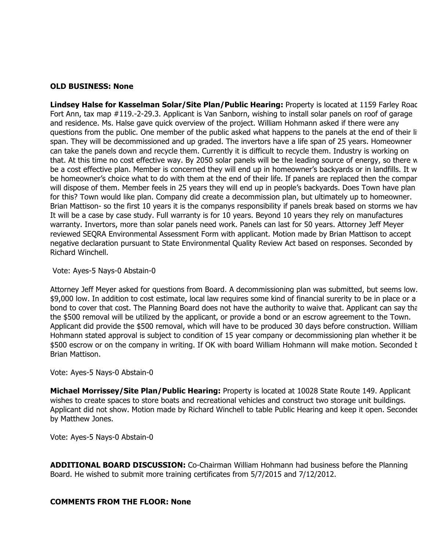#### **OLD BUSINESS: None**

**Lindsey Halse for Kasselman Solar/Site Plan/Public Hearing:** Property is located at 1159 Farley Road, Fort Ann, tax map #119.-2-29.3. Applicant is Van Sanborn, wishing to install solar panels on roof of garage and residence. Ms. Halse gave quick overview of the project. William Hohmann asked if there were any questions from the public. One member of the public asked what happens to the panels at the end of their lit span. They will be decommissioned and up graded. The invertors have a life span of 25 years. Homeowner can take the panels down and recycle them. Currently it is difficult to recycle them. Industry is working on that. At this time no cost effective way. By 2050 solar panels will be the leading source of energy, so there w be a cost effective plan. Member is concerned they will end up in homeowner's backyards or in landfills. It w be homeowner's choice what to do with them at the end of their life. If panels are replaced then the compar will dispose of them. Member feels in 25 years they will end up in people's backyards. Does Town have plan for this? Town would like plan. Company did create a decommission plan, but ultimately up to homeowner. Brian Mattison- so the first 10 years it is the companys responsibility if panels break based on storms we hav It will be a case by case study. Full warranty is for 10 years. Beyond 10 years they rely on manufactures warranty. Invertors, more than solar panels need work. Panels can last for 50 years. Attorney Jeff Meyer reviewed SEQRA Environmental Assessment Form with applicant. Motion made by Brian Mattison to accept negative declaration pursuant to State Environmental Quality Review Act based on responses. Seconded by Richard Winchell.

#### Vote: Ayes-5 Nays-0 Abstain-0

Attorney Jeff Meyer asked for questions from Board. A decommissioning plan was submitted, but seems low. \$9,000 low. In addition to cost estimate, local law requires some kind of financial surerity to be in place or a bond to cover that cost. The Planning Board does not have the authority to waive that. Applicant can say that the \$500 removal will be utilized by the applicant, or provide a bond or an escrow agreement to the Town. Applicant did provide the \$500 removal, which will have to be produced 30 days before construction. William Hohmann stated approval is subject to condition of 15 year company or decommissioning plan whether it be \$500 escrow or on the company in writing. If OK with board William Hohmann will make motion. Seconded t Brian Mattison.

### Vote: Ayes-5 Nays-0 Abstain-0

**Michael Morrissey/Site Plan/Public Hearing:** Property is located at 10028 State Route 149. Applicant wishes to create spaces to store boats and recreational vehicles and construct two storage unit buildings. Applicant did not show. Motion made by Richard Winchell to table Public Hearing and keep it open. Seconded by Matthew Jones.

Vote: Ayes-5 Nays-0 Abstain-0

**ADDITIONAL BOARD DISCUSSION:** Co-Chairman William Hohmann had business before the Planning Board. He wished to submit more training certificates from 5/7/2015 and 7/12/2012.

### **COMMENTS FROM THE FLOOR: None**